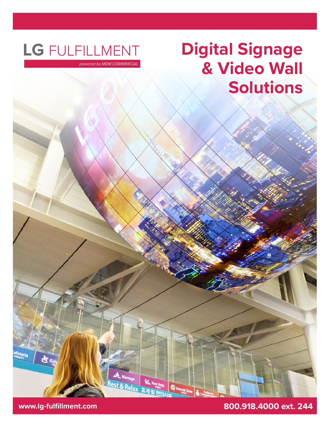# **Digital Signage & Video Wall Solutions**

# **LG** FULFILLMENT

*powered by MDM COMMERCIAL*

**E** Kids

feteria

### **www.lg-fulfillment.com 800.918.4000 ext. 244**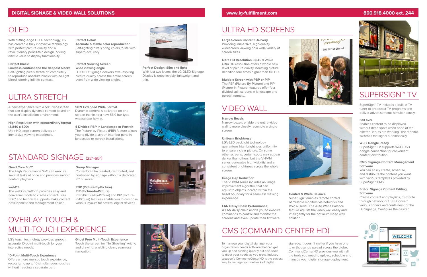**Large Screen Content Delivery** Providing immersive, high-quality widescreen viewing on a wide variety of screen sizes.

### **Ultra HD Resolution 3,840 x 2,160**

Ultra HD resolution offers a whole new level of picture quality, boasting picture definition four times higher than full HD.

### **Multiple Screen with PBP or PIP**

The PBP (Picture-By-Picture) and PIP (Picture-In-Picture) features offer four divided split screens in landscape and portrait formats.

**Accurate & stable color reproduction** Self-lighting pixels bring colors to life with superb accuracy.

### OLED

With cutting-edge OLED technology, LG has created a truly innovative technology with perfect picture quality and a revolutionary pencil-thin design, adding artistic value to display functionality.

### **Perfect Black:**

**Limitless contrast and the deepest blacks** Self-lighting pixels switch off completely to reproduce absolute blacks with no light bleed, offering infinite contrast.

### **Perfect Color:**

#### **Perfect Viewing Screen: Wide viewing angle**

LG OLED Signage delivers awe-inspiring picture quality across the entire screen, even from wide viewing angles.



**Perfect Design: Slim and light** With just two layers, the LG OLED Signage Display is unbelievably lightweight and thin.

### VIDEO WALL

## ULTRA STRETCH

A new experience with a 58:9 widescreen that can display dynamic content based on the user's installation environment.

### **High Resolution with extraordinary format (3,840 x 600)**

Ultra HD large screen delivers an immersive viewing experience.

### **58:9 Extended Wide Format**

Dynamic content is delivered on one screen thanks to a new 58:9 bar-type widescreen format. **4 Divided PBP in Landscape or Portrait**

The Picture-by-Picture (PBP) feature allows you to divide a screen into four parts in landscape or portrait installations.



### STANDARD SIGNAGE (22"-65")

### ULTRA HD SCREENS

### **Quad Core SoC\***

The High Performance SoC can execute several tasks at once and provides smooth content playback.

### **webOS**

The webOS platform provides easy and convenient tools to create content. LG's SDK\* and technical supports make content development and management easier.

#### **Group Manager**

Content can be created, distributed, and controlled by signage without a dedicated PC or server.

### **PBP (Picture-By-Picture) PIP (Picture-In-Picture)**

PBP (Picture-By-Picture) and PIP (Picture-In-Picture) features enable you to compose various layouts for several digital devices.



### OVERLAY TOUCH & MULTI-TOUCH EXPERIENCE

LG's touch technology provides smooth, accurate 10-point multi-touch for your interactive needs.

**10-Point Multi-Touch Experience** Offers a more realistic touch experience, recognizing up to 10 simultaneous touches without needing a separate pen.



### **Ghost Free Multi-Touch Experience** Touch the screen for 'No Ghosting' writing and drawing, enabling clean, seamless navigation.



SuperSign™ TV includes a built-in TV tuner to broadcast TV programs and deliver advertisements simultaneously.

### **Fail over**

Enables content to be displayed without dead spots when none of the external inputs are working. The monitor switches the signal automatically.

### **Wi-Fi Dongle Ready**

SuperSign™ TV supports Wi-Fi USB dongle connection for convenient content distribution.

### **CMS: Signage Content Management Software**

You can easily create, schedule, and distribute the content you want with various templates provided by SuperSign™ CMS.

### **Editor: Signage Content Editing Software**

Create content and playlists, distribute through network or USB. Convert various codecs and containers for the LG Signage. Configure the desired



To manage your digital signage, your organization needs software that can get you up and running quickly but also scale to meet your needs as you grow. Industry Weapon's CommandCenterHD is the easiest way to manage your network of digital

signage. It doesn't matter if you have one tv or thousands spread across the globe, CommandCenterHD provides you with all the tools you need to upload, schedule and manage your digital signage deployment.

### CMS (COMMAND CENTER HD)

### **Narrow Bezels**

Narrow bezels enable the entire video wall to more closely resemble a single screen.

### **Uniform Brightness**

LG's LED backlight technology guarantees high brightness uniformity to ensure a clear picture. On some other screens, certain spots may appear darker than others, but the VH/VM series generates high visibility and a consistent brightness across the whole screen.

### **Image Gap Reduction**

The VH/VM series includes an image improvement algorithm that can adjust to objects located within the bezel boundary for a seamless viewing experience.

### **LAN Daisy Chain Performance**

A LAN daisy chain allows you to execute commands to control and monitor the screens and even update their firmware.

### **Control & White Balance**

SuperSign™ enables remote control of multiple monitors via networks and RS232 serial. The Auto White Balance feature adjusts the video wall easily and intelligently for the optimum video wall



## SUPERSIGN™

solution.